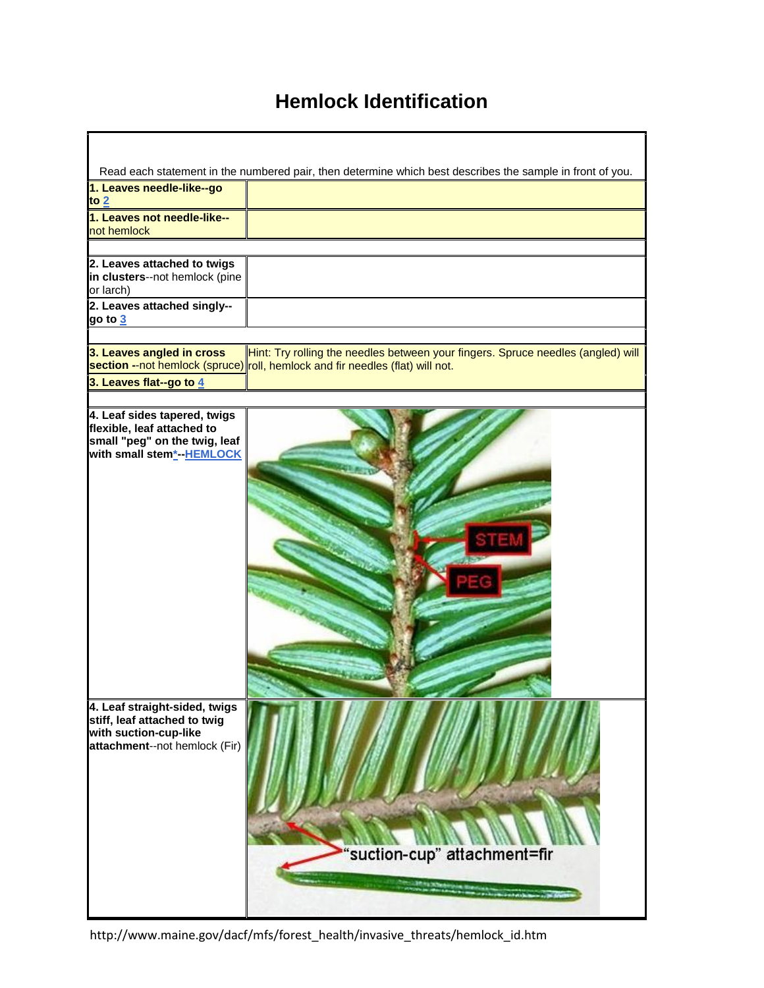# **Hemlock Identification**

|                                                            | Read each statement in the numbered pair, then determine which best describes the sample in front of you.                                                         |
|------------------------------------------------------------|-------------------------------------------------------------------------------------------------------------------------------------------------------------------|
| 1. Leaves needle-like--go                                  |                                                                                                                                                                   |
| to $2$                                                     |                                                                                                                                                                   |
| 1. Leaves not needle-like--                                |                                                                                                                                                                   |
| not hemlock                                                |                                                                                                                                                                   |
|                                                            |                                                                                                                                                                   |
| 2. Leaves attached to twigs                                |                                                                                                                                                                   |
| in clusters--not hemlock (pine                             |                                                                                                                                                                   |
| or larch)                                                  |                                                                                                                                                                   |
| 2. Leaves attached singly--                                |                                                                                                                                                                   |
| go to <u>3</u>                                             |                                                                                                                                                                   |
|                                                            |                                                                                                                                                                   |
| 3. Leaves angled in cross                                  | Hint: Try rolling the needles between your fingers. Spruce needles (angled) will<br>section --not hemlock (spruce) roll, hemlock and fir needles (flat) will not. |
| 3. Leaves flat--go to 4                                    |                                                                                                                                                                   |
|                                                            |                                                                                                                                                                   |
|                                                            |                                                                                                                                                                   |
| 4. Leaf sides tapered, twigs<br>flexible, leaf attached to |                                                                                                                                                                   |
| small "peg" on the twig, leaf                              |                                                                                                                                                                   |
| with small stem <sup>*</sup> -HEMLOCK                      |                                                                                                                                                                   |
|                                                            |                                                                                                                                                                   |
|                                                            |                                                                                                                                                                   |
|                                                            |                                                                                                                                                                   |
|                                                            |                                                                                                                                                                   |
|                                                            |                                                                                                                                                                   |
|                                                            |                                                                                                                                                                   |
|                                                            |                                                                                                                                                                   |
|                                                            |                                                                                                                                                                   |
|                                                            |                                                                                                                                                                   |
|                                                            |                                                                                                                                                                   |
|                                                            |                                                                                                                                                                   |
|                                                            |                                                                                                                                                                   |
|                                                            |                                                                                                                                                                   |
|                                                            |                                                                                                                                                                   |
|                                                            |                                                                                                                                                                   |
| 4. Leaf straight-sided, twigs                              |                                                                                                                                                                   |
| stiff, leaf attached to twig                               |                                                                                                                                                                   |
| with suction-cup-like                                      |                                                                                                                                                                   |
| attachment--not hemlock (Fir)                              |                                                                                                                                                                   |
|                                                            |                                                                                                                                                                   |
|                                                            |                                                                                                                                                                   |
|                                                            |                                                                                                                                                                   |
|                                                            |                                                                                                                                                                   |
|                                                            |                                                                                                                                                                   |
|                                                            |                                                                                                                                                                   |
|                                                            | "suction-cup" attachment=fir                                                                                                                                      |
|                                                            |                                                                                                                                                                   |
|                                                            | <b><i>ARTHURSH</i></b>                                                                                                                                            |
|                                                            |                                                                                                                                                                   |
|                                                            |                                                                                                                                                                   |

http://www.maine.gov/dacf/mfs/forest\_health/invasive\_threats/hemlock\_id.htm